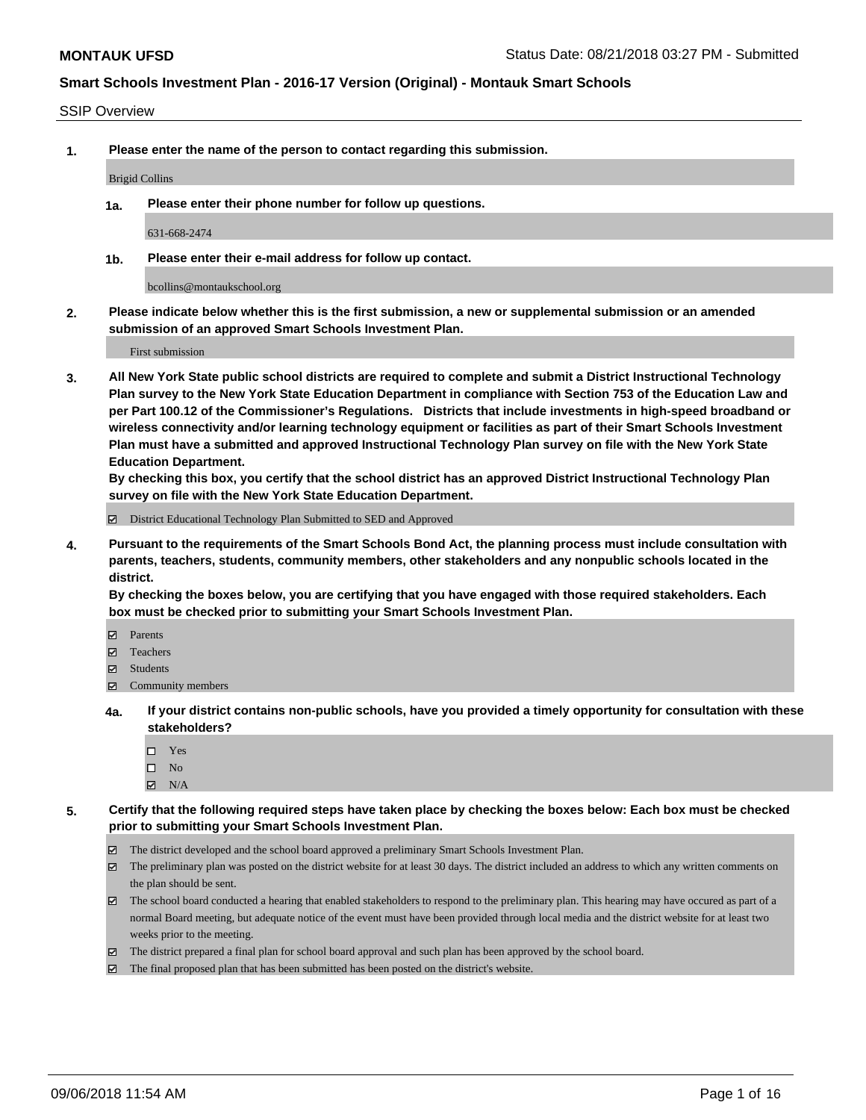#### SSIP Overview

**1. Please enter the name of the person to contact regarding this submission.**

Brigid Collins

**1a. Please enter their phone number for follow up questions.**

631-668-2474

**1b. Please enter their e-mail address for follow up contact.**

bcollins@montaukschool.org

**2. Please indicate below whether this is the first submission, a new or supplemental submission or an amended submission of an approved Smart Schools Investment Plan.**

First submission

**3. All New York State public school districts are required to complete and submit a District Instructional Technology Plan survey to the New York State Education Department in compliance with Section 753 of the Education Law and per Part 100.12 of the Commissioner's Regulations. Districts that include investments in high-speed broadband or wireless connectivity and/or learning technology equipment or facilities as part of their Smart Schools Investment Plan must have a submitted and approved Instructional Technology Plan survey on file with the New York State Education Department.** 

**By checking this box, you certify that the school district has an approved District Instructional Technology Plan survey on file with the New York State Education Department.**

District Educational Technology Plan Submitted to SED and Approved

**4. Pursuant to the requirements of the Smart Schools Bond Act, the planning process must include consultation with parents, teachers, students, community members, other stakeholders and any nonpublic schools located in the district.** 

**By checking the boxes below, you are certifying that you have engaged with those required stakeholders. Each box must be checked prior to submitting your Smart Schools Investment Plan.**

- **Parents**
- Teachers
- **☑** Students
- **☑** Community members
- **4a. If your district contains non-public schools, have you provided a timely opportunity for consultation with these stakeholders?**
	- Yes
	- $\square$  No
	- $\boxtimes$  N/A
- **5. Certify that the following required steps have taken place by checking the boxes below: Each box must be checked prior to submitting your Smart Schools Investment Plan.**
	- The district developed and the school board approved a preliminary Smart Schools Investment Plan.
	- $\boxtimes$  The preliminary plan was posted on the district website for at least 30 days. The district included an address to which any written comments on the plan should be sent.
	- The school board conducted a hearing that enabled stakeholders to respond to the preliminary plan. This hearing may have occured as part of a normal Board meeting, but adequate notice of the event must have been provided through local media and the district website for at least two weeks prior to the meeting.
	- The district prepared a final plan for school board approval and such plan has been approved by the school board.
	- The final proposed plan that has been submitted has been posted on the district's website.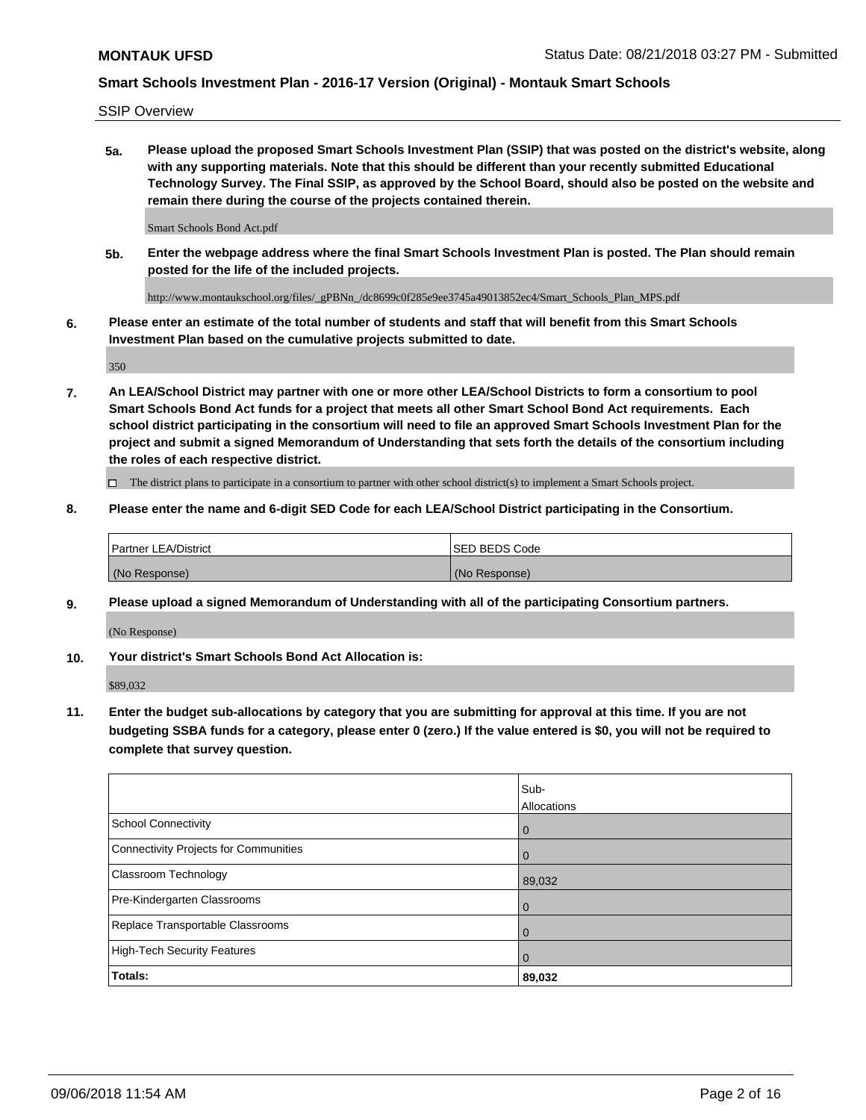SSIP Overview

**5a. Please upload the proposed Smart Schools Investment Plan (SSIP) that was posted on the district's website, along with any supporting materials. Note that this should be different than your recently submitted Educational Technology Survey. The Final SSIP, as approved by the School Board, should also be posted on the website and remain there during the course of the projects contained therein.**

Smart Schools Bond Act.pdf

**5b. Enter the webpage address where the final Smart Schools Investment Plan is posted. The Plan should remain posted for the life of the included projects.**

http://www.montaukschool.org/files/\_gPBNn\_/dc8699c0f285e9ee3745a49013852ec4/Smart\_Schools\_Plan\_MPS.pdf

**6. Please enter an estimate of the total number of students and staff that will benefit from this Smart Schools Investment Plan based on the cumulative projects submitted to date.**

350

**7. An LEA/School District may partner with one or more other LEA/School Districts to form a consortium to pool Smart Schools Bond Act funds for a project that meets all other Smart School Bond Act requirements. Each school district participating in the consortium will need to file an approved Smart Schools Investment Plan for the project and submit a signed Memorandum of Understanding that sets forth the details of the consortium including the roles of each respective district.**

 $\Box$  The district plans to participate in a consortium to partner with other school district(s) to implement a Smart Schools project.

### **8. Please enter the name and 6-digit SED Code for each LEA/School District participating in the Consortium.**

| <b>Partner LEA/District</b> | <b>ISED BEDS Code</b> |
|-----------------------------|-----------------------|
| (No Response)               | (No Response)         |

### **9. Please upload a signed Memorandum of Understanding with all of the participating Consortium partners.**

(No Response)

**10. Your district's Smart Schools Bond Act Allocation is:**

\$89,032

**11. Enter the budget sub-allocations by category that you are submitting for approval at this time. If you are not budgeting SSBA funds for a category, please enter 0 (zero.) If the value entered is \$0, you will not be required to complete that survey question.**

|                                       | Sub-<br>Allocations |
|---------------------------------------|---------------------|
| <b>School Connectivity</b>            | $\overline{0}$      |
| Connectivity Projects for Communities | $\Omega$            |
| <b>Classroom Technology</b>           | 89,032              |
| Pre-Kindergarten Classrooms           | $\mathbf 0$         |
| Replace Transportable Classrooms      | $\Omega$            |
| High-Tech Security Features           | $\overline{0}$      |
| Totals:                               | 89,032              |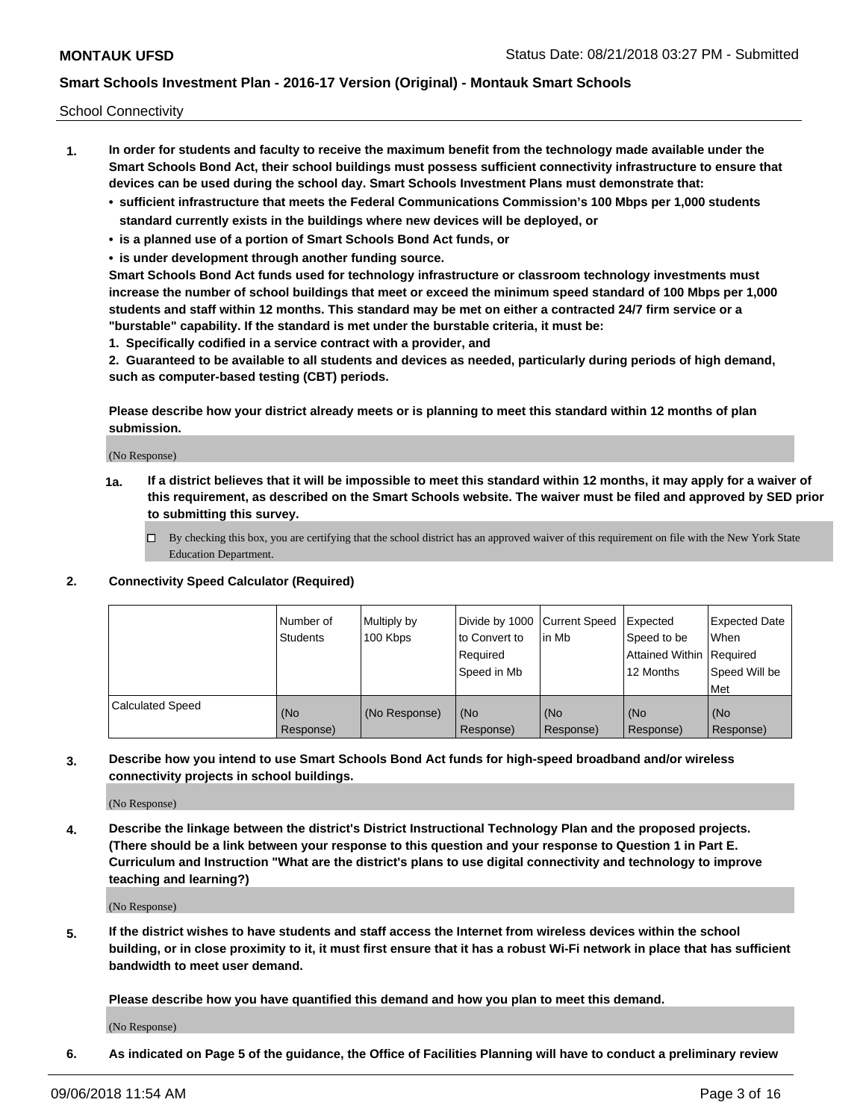School Connectivity

- **1. In order for students and faculty to receive the maximum benefit from the technology made available under the Smart Schools Bond Act, their school buildings must possess sufficient connectivity infrastructure to ensure that devices can be used during the school day. Smart Schools Investment Plans must demonstrate that:**
	- **• sufficient infrastructure that meets the Federal Communications Commission's 100 Mbps per 1,000 students standard currently exists in the buildings where new devices will be deployed, or**
	- **• is a planned use of a portion of Smart Schools Bond Act funds, or**
	- **• is under development through another funding source.**

**Smart Schools Bond Act funds used for technology infrastructure or classroom technology investments must increase the number of school buildings that meet or exceed the minimum speed standard of 100 Mbps per 1,000 students and staff within 12 months. This standard may be met on either a contracted 24/7 firm service or a "burstable" capability. If the standard is met under the burstable criteria, it must be:**

**1. Specifically codified in a service contract with a provider, and**

**2. Guaranteed to be available to all students and devices as needed, particularly during periods of high demand, such as computer-based testing (CBT) periods.**

**Please describe how your district already meets or is planning to meet this standard within 12 months of plan submission.**

(No Response)

**1a. If a district believes that it will be impossible to meet this standard within 12 months, it may apply for a waiver of this requirement, as described on the Smart Schools website. The waiver must be filed and approved by SED prior to submitting this survey.**

 $\Box$  By checking this box, you are certifying that the school district has an approved waiver of this requirement on file with the New York State Education Department.

**2. Connectivity Speed Calculator (Required)**

|                         | l Number of<br><b>Students</b> | Multiply by<br>100 Kbps | Divide by 1000 Current Speed<br>to Convert to<br>Required<br>Speed in Mb | lin Mb           | Expected<br>Speed to be<br>Attained Within   Required<br>12 Months | Expected Date<br><b>When</b><br>Speed Will be<br><b>Met</b> |
|-------------------------|--------------------------------|-------------------------|--------------------------------------------------------------------------|------------------|--------------------------------------------------------------------|-------------------------------------------------------------|
| <b>Calculated Speed</b> | (No<br>Response)               | (No Response)           | (No<br>Response)                                                         | (No<br>Response) | (No<br>Response)                                                   | (No<br>Response)                                            |

**3. Describe how you intend to use Smart Schools Bond Act funds for high-speed broadband and/or wireless connectivity projects in school buildings.**

(No Response)

**4. Describe the linkage between the district's District Instructional Technology Plan and the proposed projects. (There should be a link between your response to this question and your response to Question 1 in Part E. Curriculum and Instruction "What are the district's plans to use digital connectivity and technology to improve teaching and learning?)**

(No Response)

**5. If the district wishes to have students and staff access the Internet from wireless devices within the school building, or in close proximity to it, it must first ensure that it has a robust Wi-Fi network in place that has sufficient bandwidth to meet user demand.**

**Please describe how you have quantified this demand and how you plan to meet this demand.**

(No Response)

**6. As indicated on Page 5 of the guidance, the Office of Facilities Planning will have to conduct a preliminary review**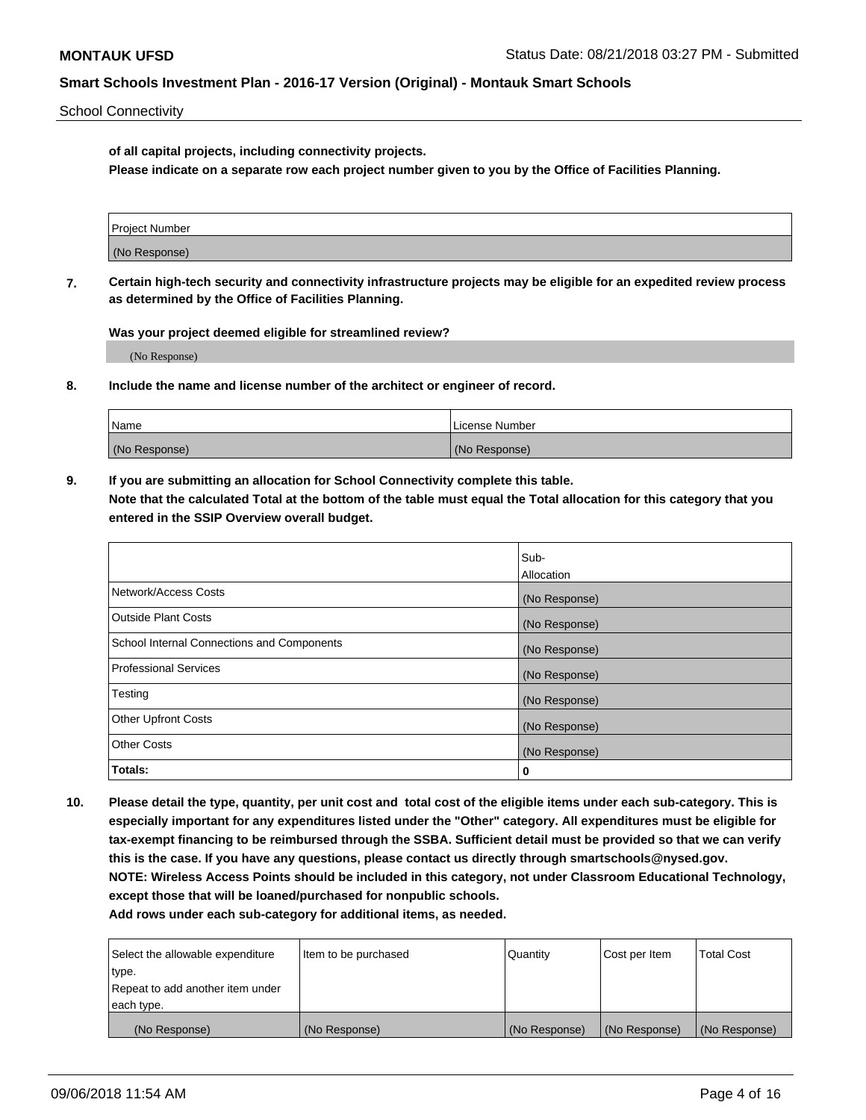School Connectivity

**of all capital projects, including connectivity projects.**

**Please indicate on a separate row each project number given to you by the Office of Facilities Planning.**

| Project Number |  |
|----------------|--|
|                |  |
|                |  |
| (No Response)  |  |
|                |  |

**7. Certain high-tech security and connectivity infrastructure projects may be eligible for an expedited review process as determined by the Office of Facilities Planning.**

**Was your project deemed eligible for streamlined review?**

(No Response)

**8. Include the name and license number of the architect or engineer of record.**

| Name          | License Number |
|---------------|----------------|
| (No Response) | (No Response)  |

**9. If you are submitting an allocation for School Connectivity complete this table. Note that the calculated Total at the bottom of the table must equal the Total allocation for this category that you entered in the SSIP Overview overall budget.** 

|                                            | Sub-          |
|--------------------------------------------|---------------|
|                                            | Allocation    |
| Network/Access Costs                       | (No Response) |
| Outside Plant Costs                        | (No Response) |
| School Internal Connections and Components | (No Response) |
| <b>Professional Services</b>               | (No Response) |
| Testing                                    | (No Response) |
| <b>Other Upfront Costs</b>                 | (No Response) |
| <b>Other Costs</b>                         | (No Response) |
| Totals:                                    | 0             |

**10. Please detail the type, quantity, per unit cost and total cost of the eligible items under each sub-category. This is especially important for any expenditures listed under the "Other" category. All expenditures must be eligible for tax-exempt financing to be reimbursed through the SSBA. Sufficient detail must be provided so that we can verify this is the case. If you have any questions, please contact us directly through smartschools@nysed.gov. NOTE: Wireless Access Points should be included in this category, not under Classroom Educational Technology, except those that will be loaned/purchased for nonpublic schools.**

| Select the allowable expenditure | Item to be purchased | Quantity      | Cost per Item | <b>Total Cost</b> |
|----------------------------------|----------------------|---------------|---------------|-------------------|
| type.                            |                      |               |               |                   |
| Repeat to add another item under |                      |               |               |                   |
| each type.                       |                      |               |               |                   |
| (No Response)                    | (No Response)        | (No Response) | (No Response) | (No Response)     |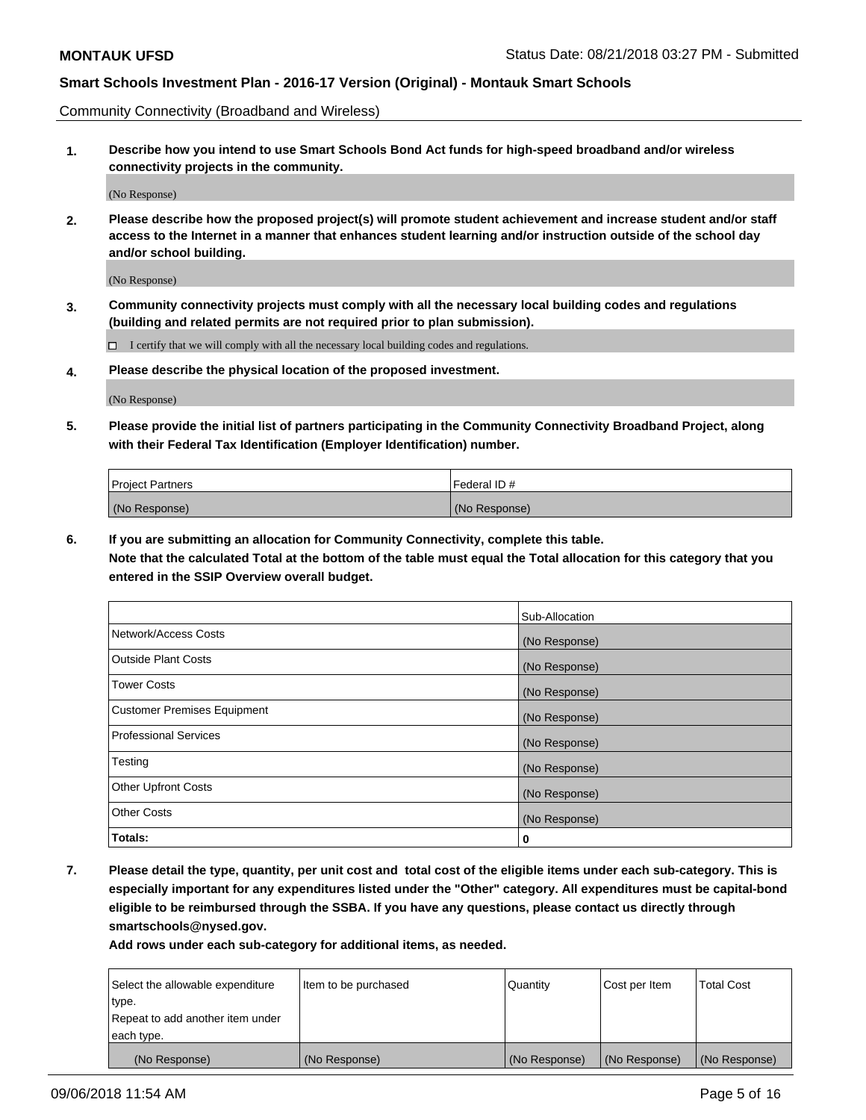Community Connectivity (Broadband and Wireless)

**1. Describe how you intend to use Smart Schools Bond Act funds for high-speed broadband and/or wireless connectivity projects in the community.**

(No Response)

**2. Please describe how the proposed project(s) will promote student achievement and increase student and/or staff access to the Internet in a manner that enhances student learning and/or instruction outside of the school day and/or school building.**

(No Response)

**3. Community connectivity projects must comply with all the necessary local building codes and regulations (building and related permits are not required prior to plan submission).**

 $\Box$  I certify that we will comply with all the necessary local building codes and regulations.

**4. Please describe the physical location of the proposed investment.**

(No Response)

**5. Please provide the initial list of partners participating in the Community Connectivity Broadband Project, along with their Federal Tax Identification (Employer Identification) number.**

| <b>Project Partners</b> | Federal ID#   |
|-------------------------|---------------|
| (No Response)           | (No Response) |

**6. If you are submitting an allocation for Community Connectivity, complete this table.**

**Note that the calculated Total at the bottom of the table must equal the Total allocation for this category that you entered in the SSIP Overview overall budget.**

|                                    | Sub-Allocation |
|------------------------------------|----------------|
| Network/Access Costs               | (No Response)  |
| <b>Outside Plant Costs</b>         | (No Response)  |
| <b>Tower Costs</b>                 | (No Response)  |
| <b>Customer Premises Equipment</b> | (No Response)  |
| <b>Professional Services</b>       | (No Response)  |
| Testing                            | (No Response)  |
| <b>Other Upfront Costs</b>         | (No Response)  |
| <b>Other Costs</b>                 | (No Response)  |
| Totals:                            | 0              |

**7. Please detail the type, quantity, per unit cost and total cost of the eligible items under each sub-category. This is especially important for any expenditures listed under the "Other" category. All expenditures must be capital-bond eligible to be reimbursed through the SSBA. If you have any questions, please contact us directly through smartschools@nysed.gov.**

| Select the allowable expenditure | Item to be purchased | Quantity      | Cost per Item | <b>Total Cost</b> |
|----------------------------------|----------------------|---------------|---------------|-------------------|
| type.                            |                      |               |               |                   |
| Repeat to add another item under |                      |               |               |                   |
| each type.                       |                      |               |               |                   |
| (No Response)                    | (No Response)        | (No Response) | (No Response) | (No Response)     |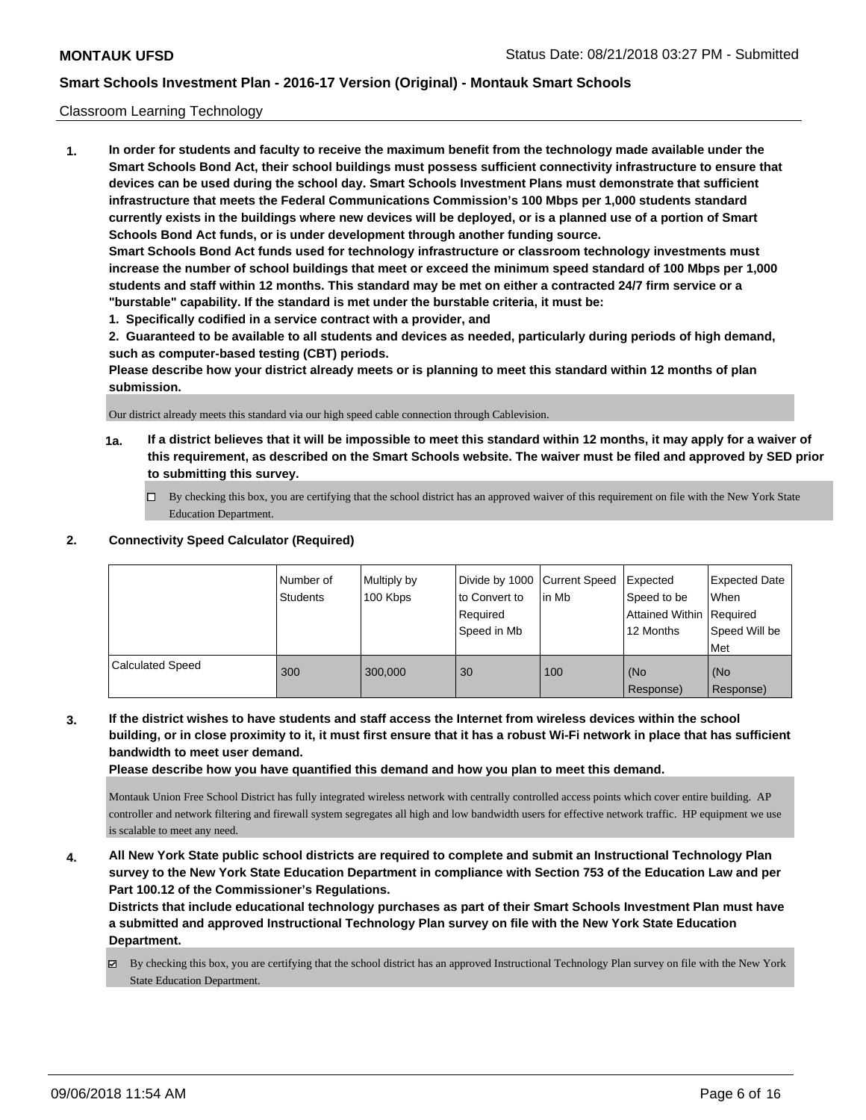#### Classroom Learning Technology

**1. In order for students and faculty to receive the maximum benefit from the technology made available under the Smart Schools Bond Act, their school buildings must possess sufficient connectivity infrastructure to ensure that devices can be used during the school day. Smart Schools Investment Plans must demonstrate that sufficient infrastructure that meets the Federal Communications Commission's 100 Mbps per 1,000 students standard currently exists in the buildings where new devices will be deployed, or is a planned use of a portion of Smart Schools Bond Act funds, or is under development through another funding source. Smart Schools Bond Act funds used for technology infrastructure or classroom technology investments must increase the number of school buildings that meet or exceed the minimum speed standard of 100 Mbps per 1,000 students and staff within 12 months. This standard may be met on either a contracted 24/7 firm service or a "burstable" capability. If the standard is met under the burstable criteria, it must be:**

**1. Specifically codified in a service contract with a provider, and**

**2. Guaranteed to be available to all students and devices as needed, particularly during periods of high demand, such as computer-based testing (CBT) periods.**

**Please describe how your district already meets or is planning to meet this standard within 12 months of plan submission.**

Our district already meets this standard via our high speed cable connection through Cablevision.

- **1a. If a district believes that it will be impossible to meet this standard within 12 months, it may apply for a waiver of this requirement, as described on the Smart Schools website. The waiver must be filed and approved by SED prior to submitting this survey.**
	- By checking this box, you are certifying that the school district has an approved waiver of this requirement on file with the New York State Education Department.

#### **2. Connectivity Speed Calculator (Required)**

|                         | I Number of<br><b>Students</b> | Multiply by<br>100 Kbps | to Convert to<br>Required<br>Speed in Mb | Divide by 1000 Current Speed<br>lin Mb | Expected<br>Speed to be<br>Attained Within   Required<br>12 Months | Expected Date<br>When<br>Speed Will be<br><b>Met</b> |
|-------------------------|--------------------------------|-------------------------|------------------------------------------|----------------------------------------|--------------------------------------------------------------------|------------------------------------------------------|
| <b>Calculated Speed</b> | 300                            | 300,000                 | 30                                       | 100                                    | (No<br>Response)                                                   | (No<br>Response)                                     |

**3. If the district wishes to have students and staff access the Internet from wireless devices within the school building, or in close proximity to it, it must first ensure that it has a robust Wi-Fi network in place that has sufficient bandwidth to meet user demand.**

**Please describe how you have quantified this demand and how you plan to meet this demand.**

Montauk Union Free School District has fully integrated wireless network with centrally controlled access points which cover entire building. AP controller and network filtering and firewall system segregates all high and low bandwidth users for effective network traffic. HP equipment we use is scalable to meet any need.

**4. All New York State public school districts are required to complete and submit an Instructional Technology Plan survey to the New York State Education Department in compliance with Section 753 of the Education Law and per Part 100.12 of the Commissioner's Regulations.**

**Districts that include educational technology purchases as part of their Smart Schools Investment Plan must have a submitted and approved Instructional Technology Plan survey on file with the New York State Education Department.**

By checking this box, you are certifying that the school district has an approved Instructional Technology Plan survey on file with the New York State Education Department.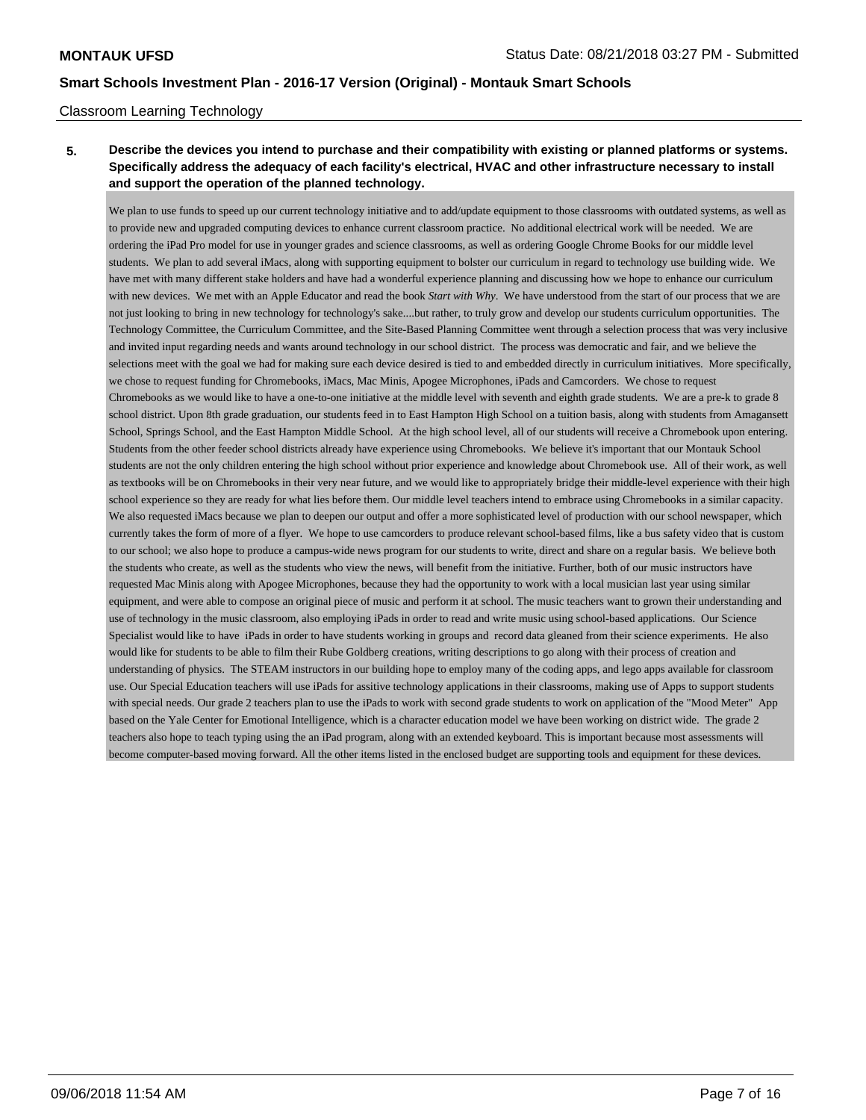### Classroom Learning Technology

## **5. Describe the devices you intend to purchase and their compatibility with existing or planned platforms or systems. Specifically address the adequacy of each facility's electrical, HVAC and other infrastructure necessary to install and support the operation of the planned technology.**

We plan to use funds to speed up our current technology initiative and to add/update equipment to those classrooms with outdated systems, as well as to provide new and upgraded computing devices to enhance current classroom practice. No additional electrical work will be needed. We are ordering the iPad Pro model for use in younger grades and science classrooms, as well as ordering Google Chrome Books for our middle level students. We plan to add several iMacs, along with supporting equipment to bolster our curriculum in regard to technology use building wide. We have met with many different stake holders and have had a wonderful experience planning and discussing how we hope to enhance our curriculum with new devices. We met with an Apple Educator and read the book *Start with Why*. We have understood from the start of our process that we are not just looking to bring in new technology for technology's sake....but rather, to truly grow and develop our students curriculum opportunities. The Technology Committee, the Curriculum Committee, and the Site-Based Planning Committee went through a selection process that was very inclusive and invited input regarding needs and wants around technology in our school district. The process was democratic and fair, and we believe the selections meet with the goal we had for making sure each device desired is tied to and embedded directly in curriculum initiatives. More specifically, we chose to request funding for Chromebooks, iMacs, Mac Minis, Apogee Microphones, iPads and Camcorders. We chose to request Chromebooks as we would like to have a one-to-one initiative at the middle level with seventh and eighth grade students. We are a pre-k to grade 8 school district. Upon 8th grade graduation, our students feed in to East Hampton High School on a tuition basis, along with students from Amagansett School, Springs School, and the East Hampton Middle School. At the high school level, all of our students will receive a Chromebook upon entering. Students from the other feeder school districts already have experience using Chromebooks. We believe it's important that our Montauk School students are not the only children entering the high school without prior experience and knowledge about Chromebook use. All of their work, as well as textbooks will be on Chromebooks in their very near future, and we would like to appropriately bridge their middle-level experience with their high school experience so they are ready for what lies before them. Our middle level teachers intend to embrace using Chromebooks in a similar capacity. We also requested iMacs because we plan to deepen our output and offer a more sophisticated level of production with our school newspaper, which currently takes the form of more of a flyer. We hope to use camcorders to produce relevant school-based films, like a bus safety video that is custom to our school; we also hope to produce a campus-wide news program for our students to write, direct and share on a regular basis. We believe both the students who create, as well as the students who view the news, will benefit from the initiative. Further, both of our music instructors have requested Mac Minis along with Apogee Microphones, because they had the opportunity to work with a local musician last year using similar equipment, and were able to compose an original piece of music and perform it at school. The music teachers want to grown their understanding and use of technology in the music classroom, also employing iPads in order to read and write music using school-based applications. Our Science Specialist would like to have iPads in order to have students working in groups and record data gleaned from their science experiments. He also would like for students to be able to film their Rube Goldberg creations, writing descriptions to go along with their process of creation and understanding of physics. The STEAM instructors in our building hope to employ many of the coding apps, and lego apps available for classroom use. Our Special Education teachers will use iPads for assitive technology applications in their classrooms, making use of Apps to support students with special needs. Our grade 2 teachers plan to use the iPads to work with second grade students to work on application of the "Mood Meter" App based on the Yale Center for Emotional Intelligence, which is a character education model we have been working on district wide. The grade 2 teachers also hope to teach typing using the an iPad program, along with an extended keyboard. This is important because most assessments will become computer-based moving forward. All the other items listed in the enclosed budget are supporting tools and equipment for these devices.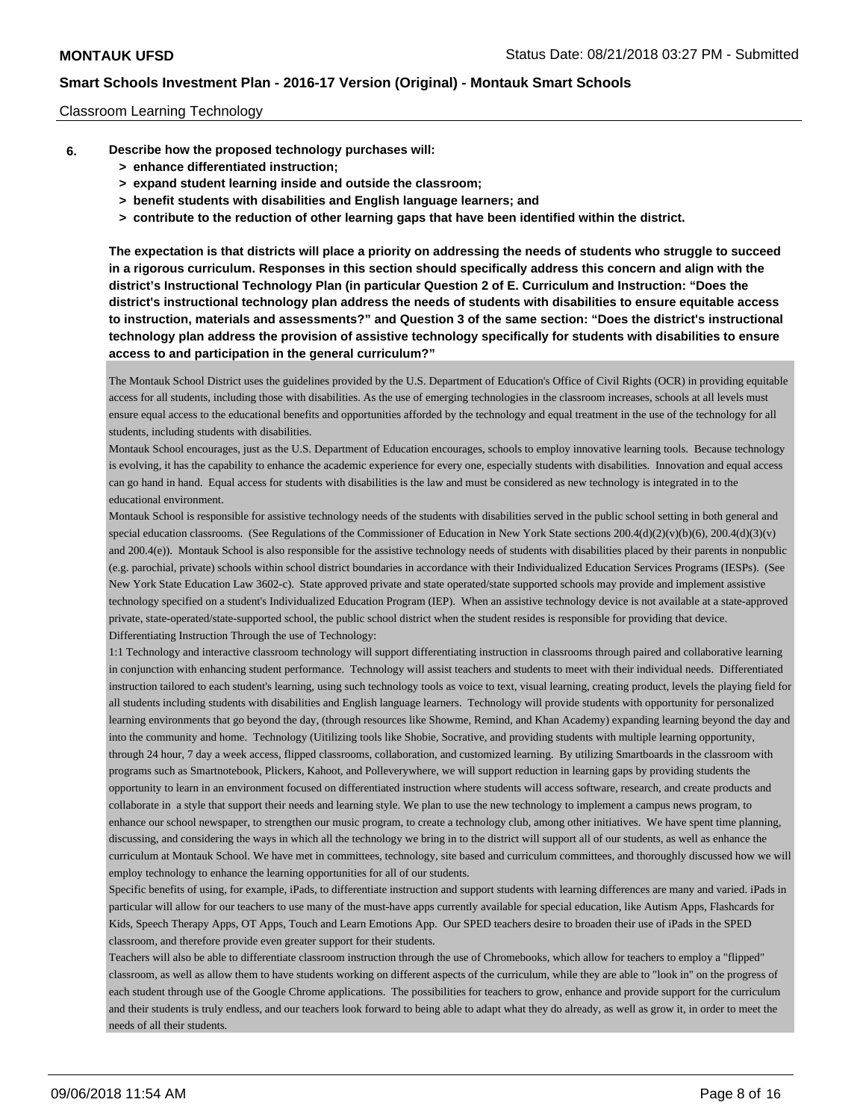#### Classroom Learning Technology

- **6. Describe how the proposed technology purchases will:**
	- **> enhance differentiated instruction;**
	- **> expand student learning inside and outside the classroom;**
	- **> benefit students with disabilities and English language learners; and**
	- **> contribute to the reduction of other learning gaps that have been identified within the district.**

**The expectation is that districts will place a priority on addressing the needs of students who struggle to succeed in a rigorous curriculum. Responses in this section should specifically address this concern and align with the district's Instructional Technology Plan (in particular Question 2 of E. Curriculum and Instruction: "Does the district's instructional technology plan address the needs of students with disabilities to ensure equitable access to instruction, materials and assessments?" and Question 3 of the same section: "Does the district's instructional technology plan address the provision of assistive technology specifically for students with disabilities to ensure access to and participation in the general curriculum?"**

The Montauk School District uses the guidelines provided by the U.S. Department of Education's Office of Civil Rights (OCR) in providing equitable access for all students, including those with disabilities. As the use of emerging technologies in the classroom increases, schools at all levels must ensure equal access to the educational benefits and opportunities afforded by the technology and equal treatment in the use of the technology for all students, including students with disabilities.

Montauk School encourages, just as the U.S. Department of Education encourages, schools to employ innovative learning tools. Because technology is evolving, it has the capability to enhance the academic experience for every one, especially students with disabilities. Innovation and equal access can go hand in hand. Equal access for students with disabilities is the law and must be considered as new technology is integrated in to the educational environment.

Montauk School is responsible for assistive technology needs of the students with disabilities served in the public school setting in both general and special education classrooms. (See Regulations of the Commissioner of Education in New York State sections 200.4(d)(2)(v)(b)(6), 200.4(d)(3)(v) and 200.4(e)). Montauk School is also responsible for the assistive technology needs of students with disabilities placed by their parents in nonpublic (e.g. parochial, private) schools within school district boundaries in accordance with their Individualized Education Services Programs (IESPs). (See New York State Education Law 3602-c). State approved private and state operated/state supported schools may provide and implement assistive technology specified on a student's Individualized Education Program (IEP). When an assistive technology device is not available at a state-approved private, state-operated/state-supported school, the public school district when the student resides is responsible for providing that device. Differentiating Instruction Through the use of Technology:

1:1 Technology and interactive classroom technology will support differentiating instruction in classrooms through paired and collaborative learning in conjunction with enhancing student performance. Technology will assist teachers and students to meet with their individual needs. Differentiated instruction tailored to each student's learning, using such technology tools as voice to text, visual learning, creating product, levels the playing field for all students including students with disabilities and English language learners. Technology will provide students with opportunity for personalized learning environments that go beyond the day, (through resources like Showme, Remind, and Khan Academy) expanding learning beyond the day and into the community and home. Technology (Uitilizing tools like Shobie, Socrative, and providing students with multiple learning opportunity, through 24 hour, 7 day a week access, flipped classrooms, collaboration, and customized learning. By utilizing Smartboards in the classroom with programs such as Smartnotebook, Plickers, Kahoot, and Polleverywhere, we will support reduction in learning gaps by providing students the opportunity to learn in an environment focused on differentiated instruction where students will access software, research, and create products and collaborate in a style that support their needs and learning style. We plan to use the new technology to implement a campus news program, to enhance our school newspaper, to strengthen our music program, to create a technology club, among other initiatives. We have spent time planning, discussing, and considering the ways in which all the technology we bring in to the district will support all of our students, as well as enhance the curriculum at Montauk School. We have met in committees, technology, site based and curriculum committees, and thoroughly discussed how we will employ technology to enhance the learning opportunities for all of our students.

Specific benefits of using, for example, iPads, to differentiate instruction and support students with learning differences are many and varied. iPads in particular will allow for our teachers to use many of the must-have apps currently available for special education, like Autism Apps, Flashcards for Kids, Speech Therapy Apps, OT Apps, Touch and Learn Emotions App. Our SPED teachers desire to broaden their use of iPads in the SPED classroom, and therefore provide even greater support for their students.

Teachers will also be able to differentiate classroom instruction through the use of Chromebooks, which allow for teachers to employ a "flipped" classroom, as well as allow them to have students working on different aspects of the curriculum, while they are able to "look in" on the progress of each student through use of the Google Chrome applications. The possibilities for teachers to grow, enhance and provide support for the curriculum and their students is truly endless, and our teachers look forward to being able to adapt what they do already, as well as grow it, in order to meet the needs of all their students.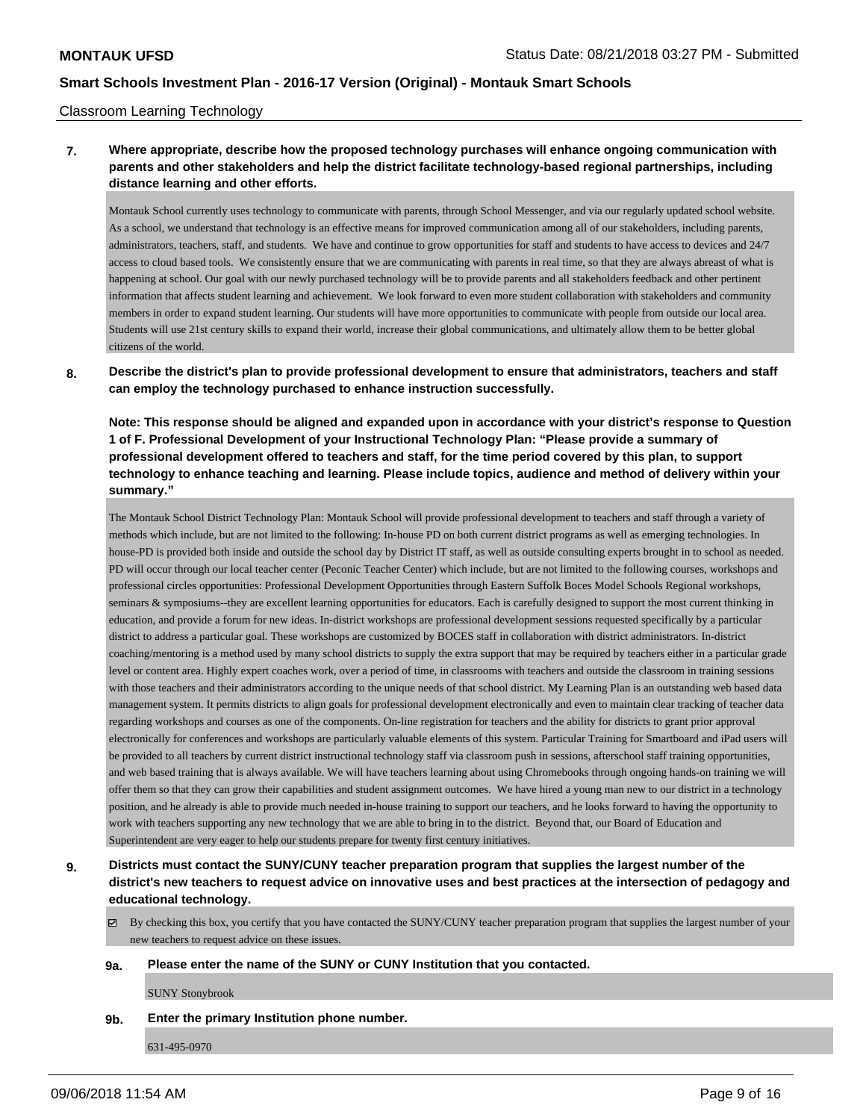#### Classroom Learning Technology

## **7. Where appropriate, describe how the proposed technology purchases will enhance ongoing communication with parents and other stakeholders and help the district facilitate technology-based regional partnerships, including distance learning and other efforts.**

Montauk School currently uses technology to communicate with parents, through School Messenger, and via our regularly updated school website. As a school, we understand that technology is an effective means for improved communication among all of our stakeholders, including parents, administrators, teachers, staff, and students. We have and continue to grow opportunities for staff and students to have access to devices and 24/7 access to cloud based tools. We consistently ensure that we are communicating with parents in real time, so that they are always abreast of what is happening at school. Our goal with our newly purchased technology will be to provide parents and all stakeholders feedback and other pertinent information that affects student learning and achievement. We look forward to even more student collaboration with stakeholders and community members in order to expand student learning. Our students will have more opportunities to communicate with people from outside our local area. Students will use 21st century skills to expand their world, increase their global communications, and ultimately allow them to be better global citizens of the world.

### **8. Describe the district's plan to provide professional development to ensure that administrators, teachers and staff can employ the technology purchased to enhance instruction successfully.**

**Note: This response should be aligned and expanded upon in accordance with your district's response to Question 1 of F. Professional Development of your Instructional Technology Plan: "Please provide a summary of professional development offered to teachers and staff, for the time period covered by this plan, to support technology to enhance teaching and learning. Please include topics, audience and method of delivery within your summary."**

The Montauk School District Technology Plan: Montauk School will provide professional development to teachers and staff through a variety of methods which include, but are not limited to the following: In-house PD on both current district programs as well as emerging technologies. In house-PD is provided both inside and outside the school day by District IT staff, as well as outside consulting experts brought in to school as needed. PD will occur through our local teacher center (Peconic Teacher Center) which include, but are not limited to the following courses, workshops and professional circles opportunities: Professional Development Opportunities through Eastern Suffolk Boces Model Schools Regional workshops, seminars & symposiums--they are excellent learning opportunities for educators. Each is carefully designed to support the most current thinking in education, and provide a forum for new ideas. In-district workshops are professional development sessions requested specifically by a particular district to address a particular goal. These workshops are customized by BOCES staff in collaboration with district administrators. In-district coaching/mentoring is a method used by many school districts to supply the extra support that may be required by teachers either in a particular grade level or content area. Highly expert coaches work, over a period of time, in classrooms with teachers and outside the classroom in training sessions with those teachers and their administrators according to the unique needs of that school district. My Learning Plan is an outstanding web based data management system. It permits districts to align goals for professional development electronically and even to maintain clear tracking of teacher data regarding workshops and courses as one of the components. On-line registration for teachers and the ability for districts to grant prior approval electronically for conferences and workshops are particularly valuable elements of this system. Particular Training for Smartboard and iPad users will be provided to all teachers by current district instructional technology staff via classroom push in sessions, afterschool staff training opportunities, and web based training that is always available. We will have teachers learning about using Chromebooks through ongoing hands-on training we will offer them so that they can grow their capabilities and student assignment outcomes. We have hired a young man new to our district in a technology position, and he already is able to provide much needed in-house training to support our teachers, and he looks forward to having the opportunity to work with teachers supporting any new technology that we are able to bring in to the district. Beyond that, our Board of Education and Superintendent are very eager to help our students prepare for twenty first century initiatives.

## **9. Districts must contact the SUNY/CUNY teacher preparation program that supplies the largest number of the district's new teachers to request advice on innovative uses and best practices at the intersection of pedagogy and educational technology.**

 $\boxtimes$  By checking this box, you certify that you have contacted the SUNY/CUNY teacher preparation program that supplies the largest number of your new teachers to request advice on these issues.

#### **9a. Please enter the name of the SUNY or CUNY Institution that you contacted.**

SUNY Stonybrook

**9b. Enter the primary Institution phone number.**

631-495-0970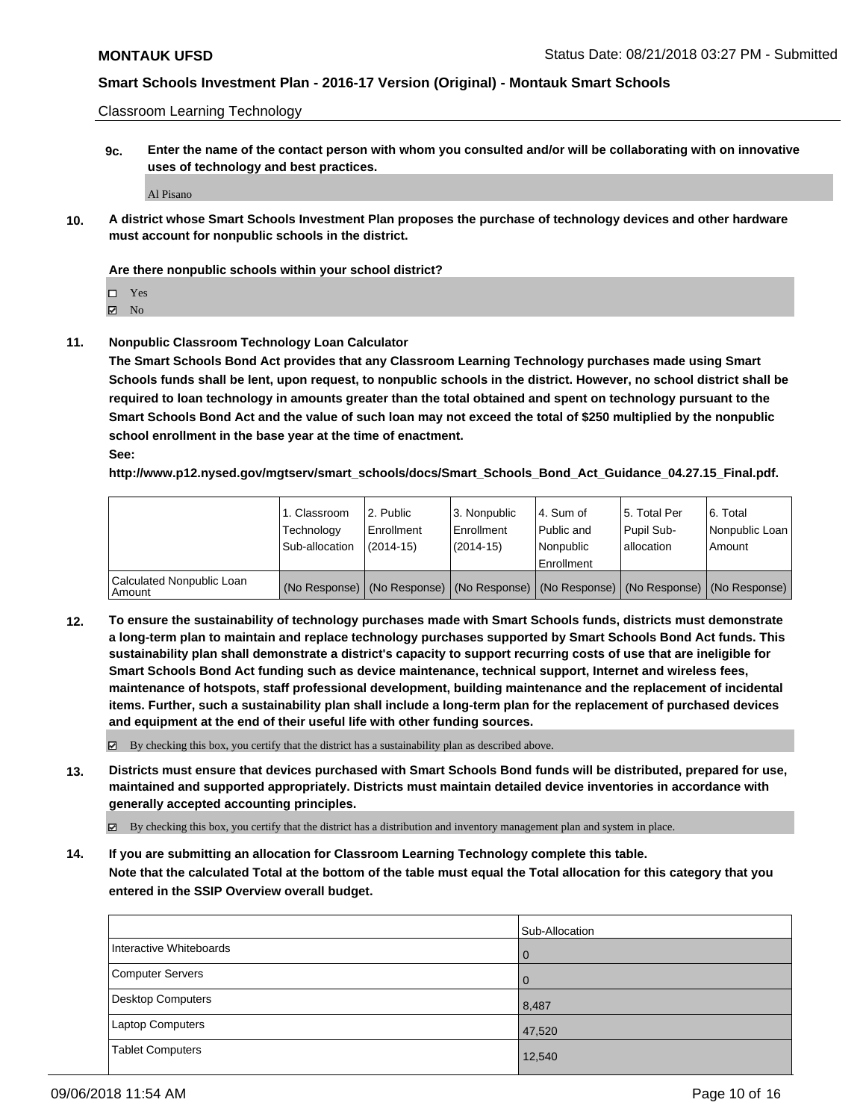Classroom Learning Technology

**9c. Enter the name of the contact person with whom you consulted and/or will be collaborating with on innovative uses of technology and best practices.**

Al Pisano

**10. A district whose Smart Schools Investment Plan proposes the purchase of technology devices and other hardware must account for nonpublic schools in the district.**

#### **Are there nonpublic schools within your school district?**

Yes

 $\boxtimes$  No

**11. Nonpublic Classroom Technology Loan Calculator**

**The Smart Schools Bond Act provides that any Classroom Learning Technology purchases made using Smart Schools funds shall be lent, upon request, to nonpublic schools in the district. However, no school district shall be required to loan technology in amounts greater than the total obtained and spent on technology pursuant to the Smart Schools Bond Act and the value of such loan may not exceed the total of \$250 multiplied by the nonpublic school enrollment in the base year at the time of enactment.**

**See:**

**http://www.p12.nysed.gov/mgtserv/smart\_schools/docs/Smart\_Schools\_Bond\_Act\_Guidance\_04.27.15\_Final.pdf.**

|                                       | 1. Classroom<br>Technology<br>Sub-allocation | 12. Public<br>l Enrollment<br>$(2014-15)$ | l 3. Nonpublic<br>Enrollment<br>(2014-15) | l 4. Sum of<br>Public and<br>l Nonpublic<br>Enrollment                                        | 15. Total Per<br>Pupil Sub-<br>l allocation | 6. Total<br>Nonpublic Loan  <br>Amount |
|---------------------------------------|----------------------------------------------|-------------------------------------------|-------------------------------------------|-----------------------------------------------------------------------------------------------|---------------------------------------------|----------------------------------------|
| Calculated Nonpublic Loan<br>l Amount |                                              |                                           |                                           | (No Response)   (No Response)   (No Response)   (No Response)   (No Response)   (No Response) |                                             |                                        |

**12. To ensure the sustainability of technology purchases made with Smart Schools funds, districts must demonstrate a long-term plan to maintain and replace technology purchases supported by Smart Schools Bond Act funds. This sustainability plan shall demonstrate a district's capacity to support recurring costs of use that are ineligible for Smart Schools Bond Act funding such as device maintenance, technical support, Internet and wireless fees, maintenance of hotspots, staff professional development, building maintenance and the replacement of incidental items. Further, such a sustainability plan shall include a long-term plan for the replacement of purchased devices and equipment at the end of their useful life with other funding sources.**

By checking this box, you certify that the district has a sustainability plan as described above.

**13. Districts must ensure that devices purchased with Smart Schools Bond funds will be distributed, prepared for use, maintained and supported appropriately. Districts must maintain detailed device inventories in accordance with generally accepted accounting principles.**

By checking this box, you certify that the district has a distribution and inventory management plan and system in place.

**14. If you are submitting an allocation for Classroom Learning Technology complete this table.**

**Note that the calculated Total at the bottom of the table must equal the Total allocation for this category that you entered in the SSIP Overview overall budget.**

|                          | Sub-Allocation |
|--------------------------|----------------|
| Interactive Whiteboards  | $\overline{0}$ |
| Computer Servers         | $\Omega$       |
| <b>Desktop Computers</b> | 8,487          |
| Laptop Computers         | 47,520         |
| <b>Tablet Computers</b>  | 12,540         |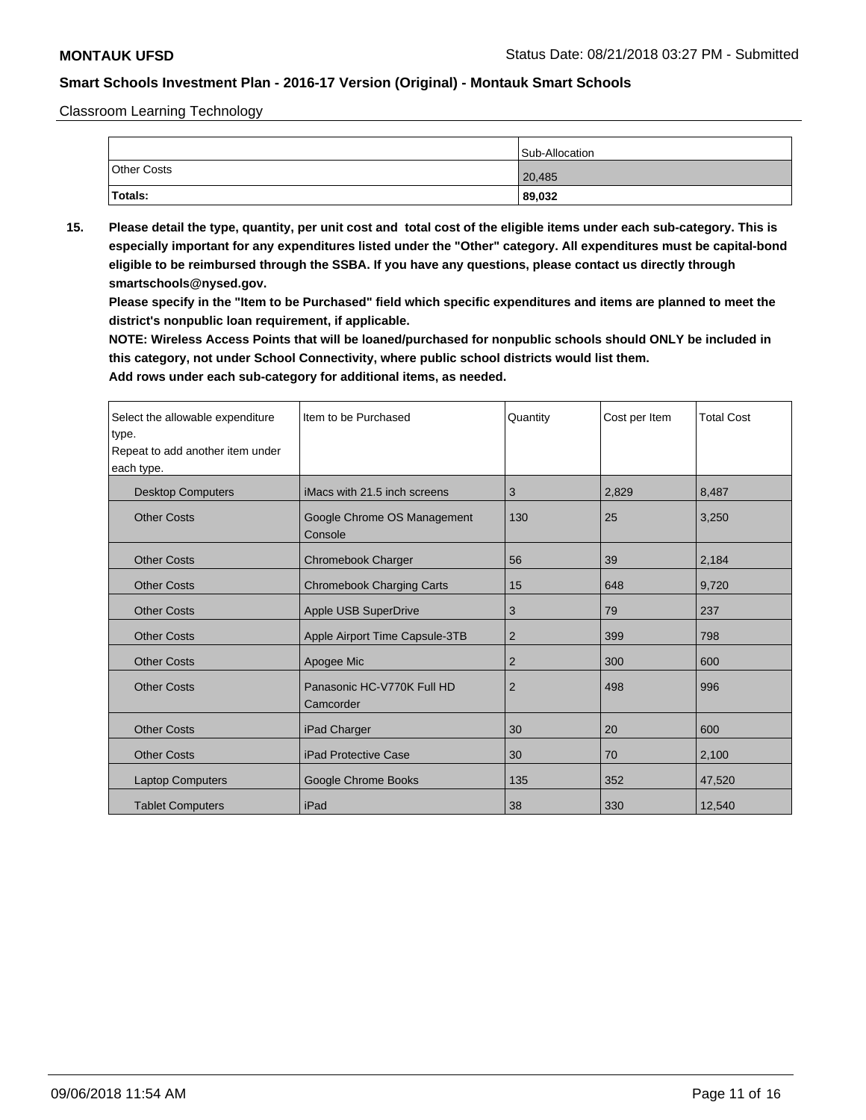Classroom Learning Technology

|                    | Sub-Allocation |
|--------------------|----------------|
| <b>Other Costs</b> | 20,485         |
| Totals:            | 89,032         |

**15. Please detail the type, quantity, per unit cost and total cost of the eligible items under each sub-category. This is especially important for any expenditures listed under the "Other" category. All expenditures must be capital-bond eligible to be reimbursed through the SSBA. If you have any questions, please contact us directly through smartschools@nysed.gov.**

**Please specify in the "Item to be Purchased" field which specific expenditures and items are planned to meet the district's nonpublic loan requirement, if applicable.**

**NOTE: Wireless Access Points that will be loaned/purchased for nonpublic schools should ONLY be included in this category, not under School Connectivity, where public school districts would list them.**

| Select the allowable expenditure<br>type.<br>Repeat to add another item under<br>each type. | Item to be Purchased                    | Quantity       | Cost per Item | <b>Total Cost</b> |
|---------------------------------------------------------------------------------------------|-----------------------------------------|----------------|---------------|-------------------|
| <b>Desktop Computers</b>                                                                    | iMacs with 21.5 inch screens            | 3              | 2,829         | 8,487             |
| <b>Other Costs</b>                                                                          | Google Chrome OS Management<br>Console  | 130            | 25            | 3,250             |
| <b>Other Costs</b>                                                                          | Chromebook Charger                      | 56             | 39            | 2,184             |
| <b>Other Costs</b>                                                                          | <b>Chromebook Charging Carts</b>        | 15             | 648           | 9,720             |
| <b>Other Costs</b>                                                                          | Apple USB SuperDrive                    | 3              | 79            | 237               |
| <b>Other Costs</b>                                                                          | Apple Airport Time Capsule-3TB          | 2              | 399           | 798               |
| <b>Other Costs</b>                                                                          | Apogee Mic                              | 2              | 300           | 600               |
| <b>Other Costs</b>                                                                          | Panasonic HC-V770K Full HD<br>Camcorder | $\overline{2}$ | 498           | 996               |
| <b>Other Costs</b>                                                                          | iPad Charger                            | 30             | 20            | 600               |
| <b>Other Costs</b>                                                                          | <b>iPad Protective Case</b>             | 30             | 70            | 2,100             |
| <b>Laptop Computers</b>                                                                     | Google Chrome Books                     | 135            | 352           | 47,520            |
| <b>Tablet Computers</b>                                                                     | iPad                                    | 38             | 330           | 12,540            |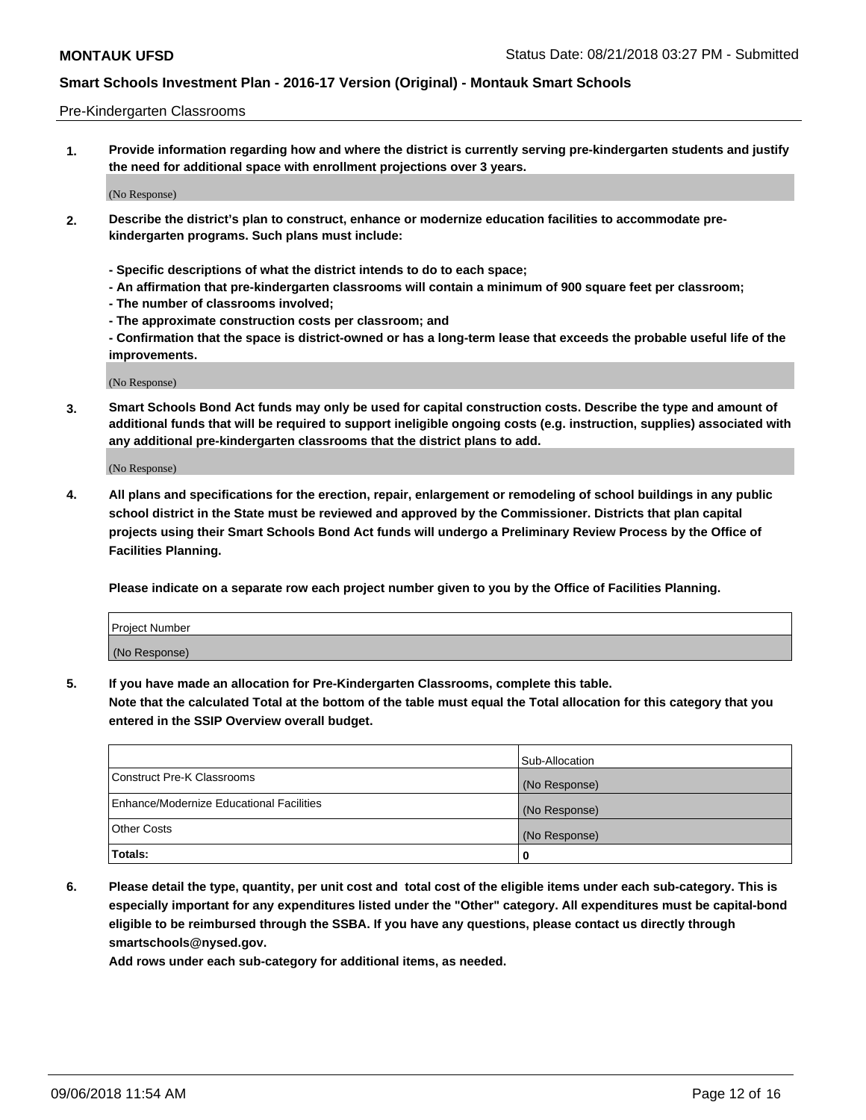#### Pre-Kindergarten Classrooms

**1. Provide information regarding how and where the district is currently serving pre-kindergarten students and justify the need for additional space with enrollment projections over 3 years.**

(No Response)

- **2. Describe the district's plan to construct, enhance or modernize education facilities to accommodate prekindergarten programs. Such plans must include:**
	- **Specific descriptions of what the district intends to do to each space;**
	- **An affirmation that pre-kindergarten classrooms will contain a minimum of 900 square feet per classroom;**
	- **The number of classrooms involved;**
	- **The approximate construction costs per classroom; and**
	- **Confirmation that the space is district-owned or has a long-term lease that exceeds the probable useful life of the improvements.**

(No Response)

**3. Smart Schools Bond Act funds may only be used for capital construction costs. Describe the type and amount of additional funds that will be required to support ineligible ongoing costs (e.g. instruction, supplies) associated with any additional pre-kindergarten classrooms that the district plans to add.**

(No Response)

**4. All plans and specifications for the erection, repair, enlargement or remodeling of school buildings in any public school district in the State must be reviewed and approved by the Commissioner. Districts that plan capital projects using their Smart Schools Bond Act funds will undergo a Preliminary Review Process by the Office of Facilities Planning.**

**Please indicate on a separate row each project number given to you by the Office of Facilities Planning.**

| Project Number |  |
|----------------|--|
| (No Response)  |  |
|                |  |

**5. If you have made an allocation for Pre-Kindergarten Classrooms, complete this table.**

**Note that the calculated Total at the bottom of the table must equal the Total allocation for this category that you entered in the SSIP Overview overall budget.**

|                                          | Sub-Allocation |
|------------------------------------------|----------------|
| Construct Pre-K Classrooms               | (No Response)  |
| Enhance/Modernize Educational Facilities | (No Response)  |
| <b>Other Costs</b>                       | (No Response)  |
| Totals:                                  | 0              |

**6. Please detail the type, quantity, per unit cost and total cost of the eligible items under each sub-category. This is especially important for any expenditures listed under the "Other" category. All expenditures must be capital-bond eligible to be reimbursed through the SSBA. If you have any questions, please contact us directly through smartschools@nysed.gov.**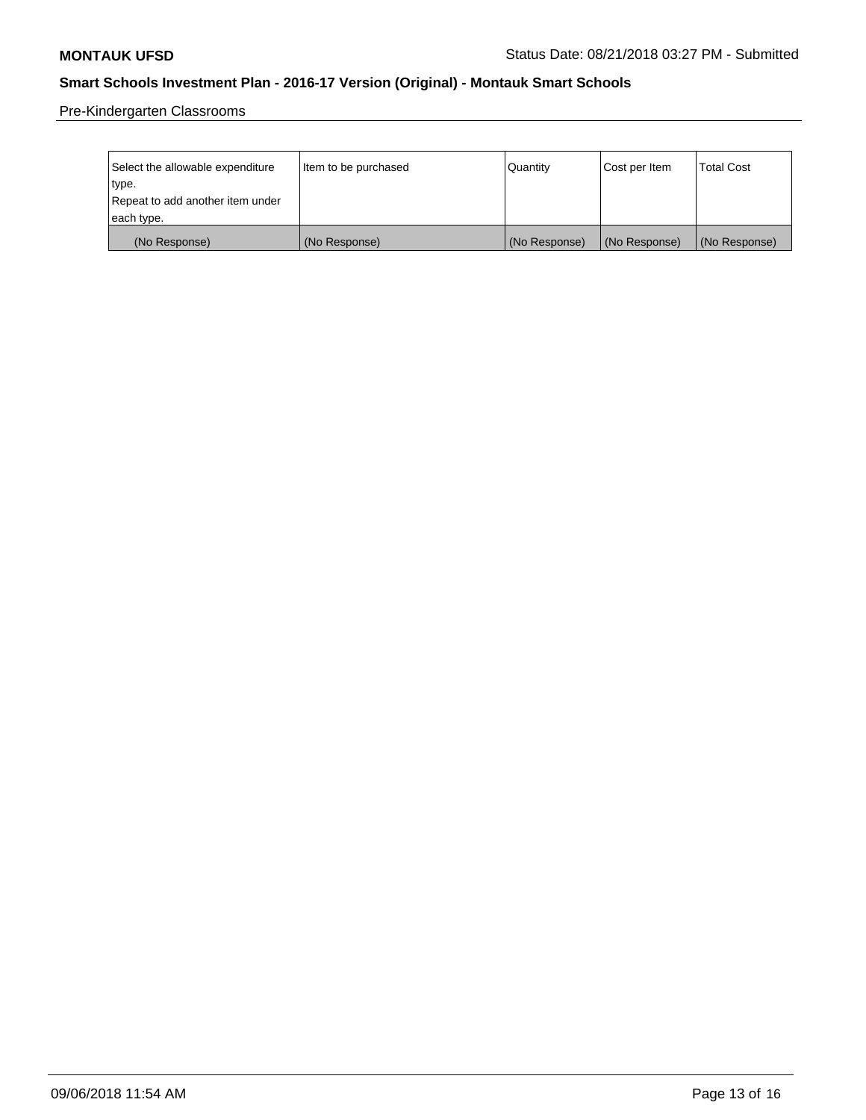Pre-Kindergarten Classrooms

| Select the allowable expenditure | Item to be purchased | Quantity      | Cost per Item | <b>Total Cost</b> |
|----------------------------------|----------------------|---------------|---------------|-------------------|
| type.                            |                      |               |               |                   |
| Repeat to add another item under |                      |               |               |                   |
| each type.                       |                      |               |               |                   |
| (No Response)                    | (No Response)        | (No Response) | (No Response) | (No Response)     |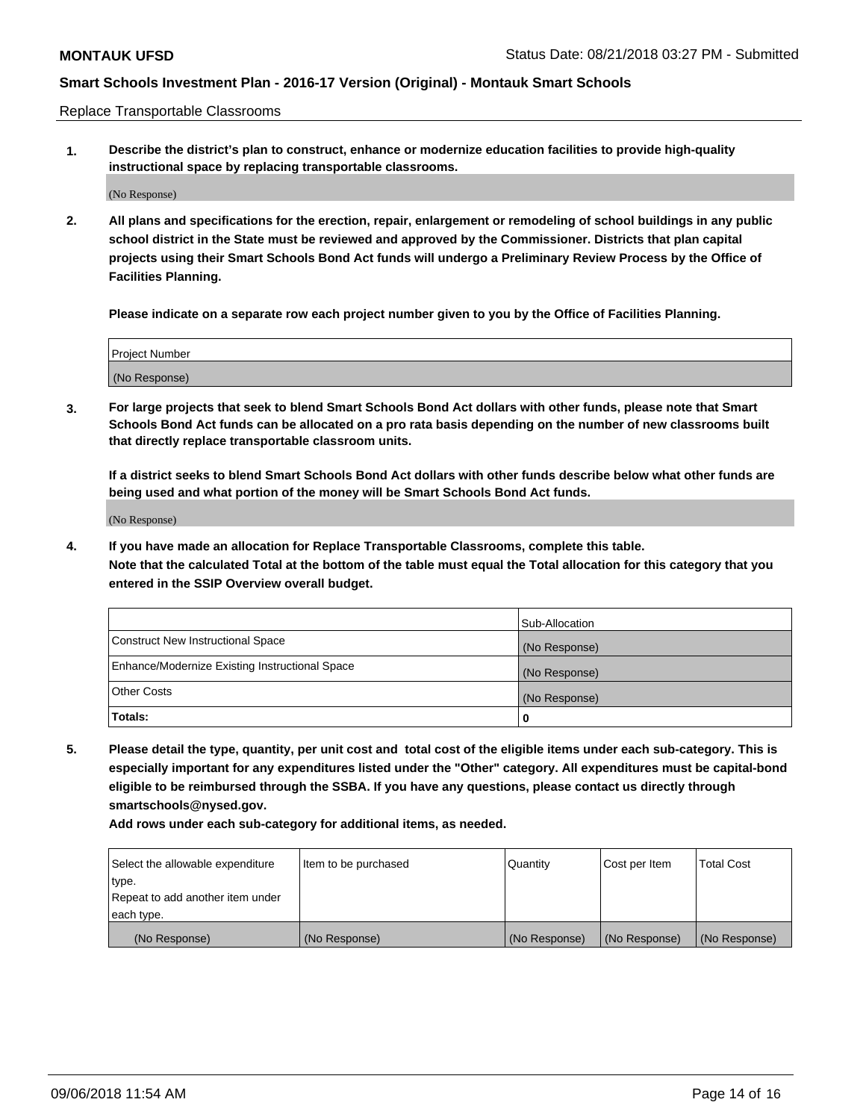Replace Transportable Classrooms

**1. Describe the district's plan to construct, enhance or modernize education facilities to provide high-quality instructional space by replacing transportable classrooms.**

(No Response)

**2. All plans and specifications for the erection, repair, enlargement or remodeling of school buildings in any public school district in the State must be reviewed and approved by the Commissioner. Districts that plan capital projects using their Smart Schools Bond Act funds will undergo a Preliminary Review Process by the Office of Facilities Planning.**

**Please indicate on a separate row each project number given to you by the Office of Facilities Planning.**

| Project Number |  |
|----------------|--|
|                |  |
|                |  |
|                |  |
|                |  |
| (No Response)  |  |
|                |  |
|                |  |
|                |  |

**3. For large projects that seek to blend Smart Schools Bond Act dollars with other funds, please note that Smart Schools Bond Act funds can be allocated on a pro rata basis depending on the number of new classrooms built that directly replace transportable classroom units.**

**If a district seeks to blend Smart Schools Bond Act dollars with other funds describe below what other funds are being used and what portion of the money will be Smart Schools Bond Act funds.**

(No Response)

**4. If you have made an allocation for Replace Transportable Classrooms, complete this table. Note that the calculated Total at the bottom of the table must equal the Total allocation for this category that you entered in the SSIP Overview overall budget.**

|                                                | Sub-Allocation |
|------------------------------------------------|----------------|
| Construct New Instructional Space              | (No Response)  |
| Enhance/Modernize Existing Instructional Space | (No Response)  |
| <b>Other Costs</b>                             | (No Response)  |
| Totals:                                        | 0              |

**5. Please detail the type, quantity, per unit cost and total cost of the eligible items under each sub-category. This is especially important for any expenditures listed under the "Other" category. All expenditures must be capital-bond eligible to be reimbursed through the SSBA. If you have any questions, please contact us directly through smartschools@nysed.gov.**

| Select the allowable expenditure | Item to be purchased | l Quantitv    | Cost per Item | <b>Total Cost</b> |
|----------------------------------|----------------------|---------------|---------------|-------------------|
| type.                            |                      |               |               |                   |
| Repeat to add another item under |                      |               |               |                   |
| each type.                       |                      |               |               |                   |
| (No Response)                    | (No Response)        | (No Response) | (No Response) | (No Response)     |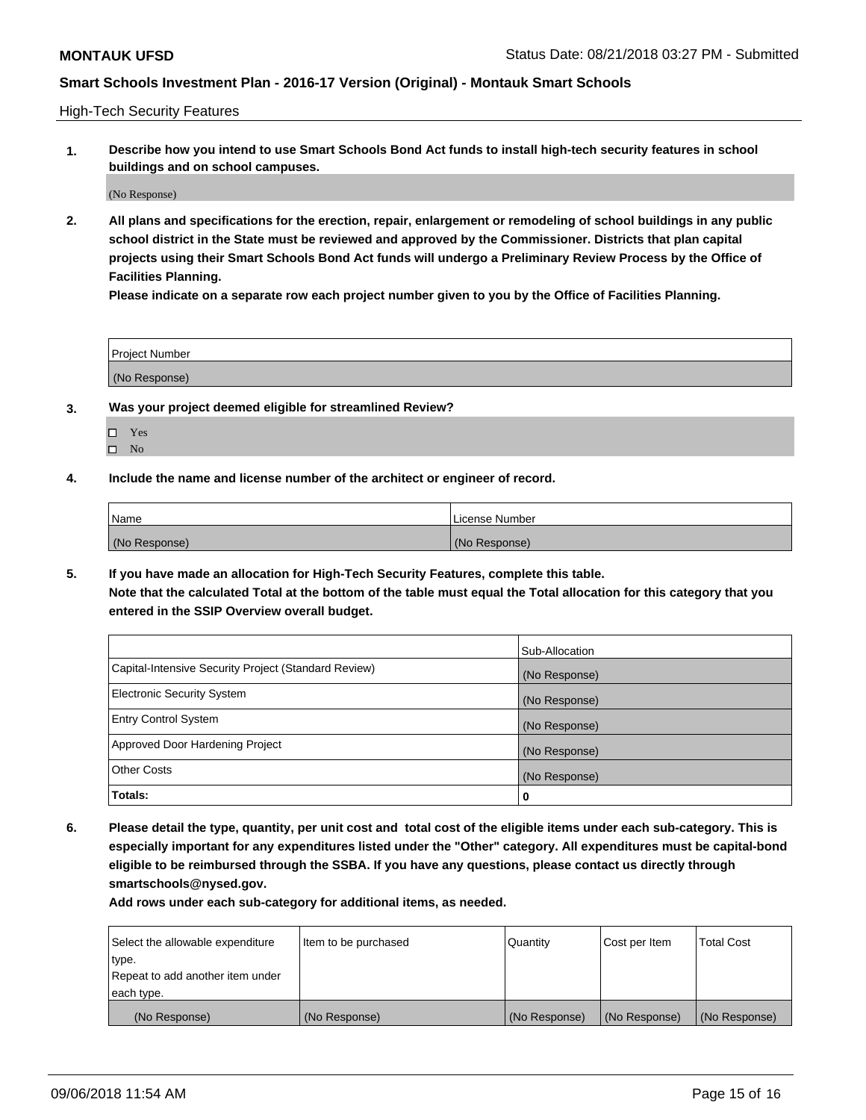High-Tech Security Features

**1. Describe how you intend to use Smart Schools Bond Act funds to install high-tech security features in school buildings and on school campuses.**

(No Response)

**2. All plans and specifications for the erection, repair, enlargement or remodeling of school buildings in any public school district in the State must be reviewed and approved by the Commissioner. Districts that plan capital projects using their Smart Schools Bond Act funds will undergo a Preliminary Review Process by the Office of Facilities Planning.** 

**Please indicate on a separate row each project number given to you by the Office of Facilities Planning.**

| <b>Project Number</b> |  |
|-----------------------|--|
| (No Response)         |  |

- **3. Was your project deemed eligible for streamlined Review?**
	- Yes
	- $\square$  No
- **4. Include the name and license number of the architect or engineer of record.**

| <b>Name</b>   | License Number |
|---------------|----------------|
| (No Response) | (No Response)  |

**5. If you have made an allocation for High-Tech Security Features, complete this table.**

**Note that the calculated Total at the bottom of the table must equal the Total allocation for this category that you entered in the SSIP Overview overall budget.**

|                                                      | Sub-Allocation |
|------------------------------------------------------|----------------|
| Capital-Intensive Security Project (Standard Review) | (No Response)  |
| <b>Electronic Security System</b>                    | (No Response)  |
| <b>Entry Control System</b>                          | (No Response)  |
| Approved Door Hardening Project                      | (No Response)  |
| <b>Other Costs</b>                                   | (No Response)  |
| Totals:                                              | 0              |

**6. Please detail the type, quantity, per unit cost and total cost of the eligible items under each sub-category. This is especially important for any expenditures listed under the "Other" category. All expenditures must be capital-bond eligible to be reimbursed through the SSBA. If you have any questions, please contact us directly through smartschools@nysed.gov.**

| Select the allowable expenditure | Item to be purchased | Quantity      | Cost per Item | <b>Total Cost</b> |
|----------------------------------|----------------------|---------------|---------------|-------------------|
| type.                            |                      |               |               |                   |
| Repeat to add another item under |                      |               |               |                   |
| each type.                       |                      |               |               |                   |
| (No Response)                    | (No Response)        | (No Response) | (No Response) | (No Response)     |